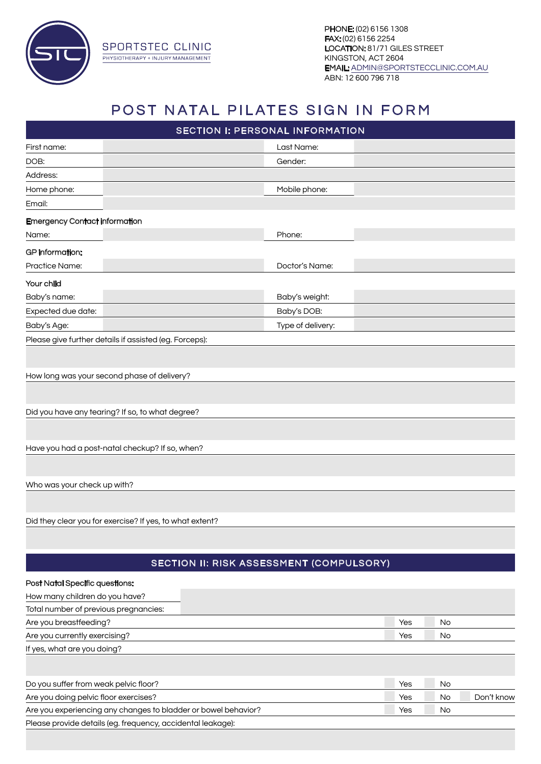

**SPORTSTEC CLINIC** PHYSIOTHERAPY + INJURY MANAGEMENT

## POST NATAL PILATES SIGN IN FORM

|                                                                                                                               | SECTION I: PERSONAL INFORMATION                 |     |           |            |
|-------------------------------------------------------------------------------------------------------------------------------|-------------------------------------------------|-----|-----------|------------|
| First name:                                                                                                                   | Last Name:                                      |     |           |            |
| DOB:                                                                                                                          | Gender:                                         |     |           |            |
| Address:                                                                                                                      |                                                 |     |           |            |
| Home phone:                                                                                                                   | Mobile phone:                                   |     |           |            |
| Email:                                                                                                                        |                                                 |     |           |            |
| <b>Emergency Contact information</b>                                                                                          |                                                 |     |           |            |
| Name:                                                                                                                         | Phone:                                          |     |           |            |
| <b>GP</b> information:                                                                                                        |                                                 |     |           |            |
| Practice Name:                                                                                                                | Doctor's Name:                                  |     |           |            |
|                                                                                                                               |                                                 |     |           |            |
| Your child                                                                                                                    |                                                 |     |           |            |
| Baby's name:                                                                                                                  | Baby's weight:                                  |     |           |            |
| Expected due date:                                                                                                            | Baby's DOB:                                     |     |           |            |
| Baby's Age:                                                                                                                   | Type of delivery:                               |     |           |            |
| Please give further details if assisted (eg. Forceps):                                                                        |                                                 |     |           |            |
|                                                                                                                               |                                                 |     |           |            |
| How long was your second phase of delivery?                                                                                   |                                                 |     |           |            |
|                                                                                                                               |                                                 |     |           |            |
|                                                                                                                               |                                                 |     |           |            |
| Did you have any tearing? If so, to what degree?                                                                              |                                                 |     |           |            |
|                                                                                                                               |                                                 |     |           |            |
|                                                                                                                               |                                                 |     |           |            |
| Have you had a post-natal checkup? If so, when?                                                                               |                                                 |     |           |            |
|                                                                                                                               |                                                 |     |           |            |
| Who was your check up with?                                                                                                   |                                                 |     |           |            |
|                                                                                                                               |                                                 |     |           |            |
|                                                                                                                               |                                                 |     |           |            |
| Did they clear you for exercise? If yes, to what extent?                                                                      |                                                 |     |           |            |
|                                                                                                                               |                                                 |     |           |            |
|                                                                                                                               |                                                 |     |           |            |
|                                                                                                                               | <b>SECTION II: RISK ASSESSMENT (COMPULSORY)</b> |     |           |            |
| <b>Post Natal Specific questions:</b>                                                                                         |                                                 |     |           |            |
| How many children do you have?                                                                                                |                                                 |     |           |            |
| Total number of previous pregnancies:                                                                                         |                                                 |     |           |            |
| Are you breastfeeding?                                                                                                        |                                                 | Yes | No        |            |
| Are you currently exercising?                                                                                                 |                                                 | Yes | <b>No</b> |            |
| If yes, what are you doing?                                                                                                   |                                                 |     |           |            |
|                                                                                                                               |                                                 |     |           |            |
|                                                                                                                               |                                                 |     |           |            |
| Do you suffer from weak pelvic floor?                                                                                         |                                                 | Yes | <b>No</b> |            |
| Are you doing pelvic floor exercises?                                                                                         |                                                 | Yes | <b>No</b> | Don't know |
| Are you experiencing any changes to bladder or bowel behavior?<br>Please provide details (eg. frequency, accidental leakage): |                                                 | Yes | No        |            |
|                                                                                                                               |                                                 |     |           |            |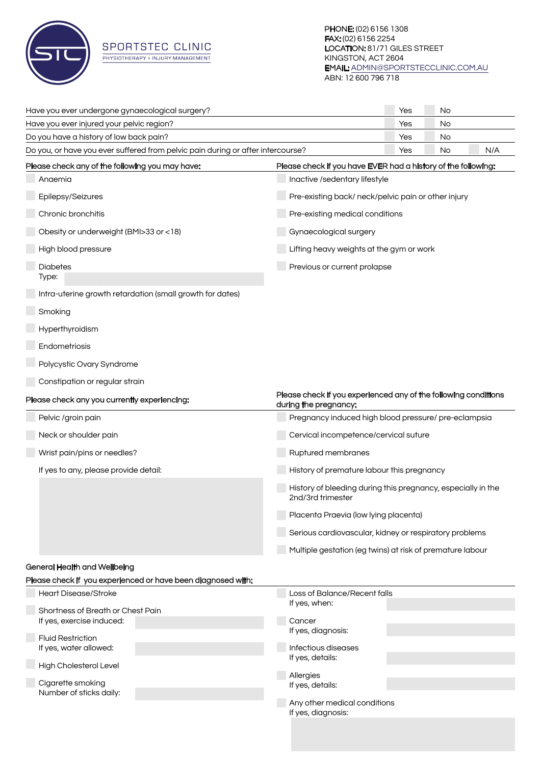

## **SPORTSTEC CLINIC** PHYSIOTHERAPY + INJURY MANAGEMENT

| Have you ever undergone gynaecological surgery?                                                                                          | Yes                                                 | No |     |  |
|------------------------------------------------------------------------------------------------------------------------------------------|-----------------------------------------------------|----|-----|--|
| Have you ever injured your pelvic region?                                                                                                | Yes                                                 | No |     |  |
| Do you have a history of low back pain?                                                                                                  | Yes                                                 | No |     |  |
| Do you, or have you ever suffered from pelvic pain during or after intercourse?<br>Yes<br>No                                             |                                                     |    | N/A |  |
| Please check any of the following you may have:<br>Please check if you have EVER had a history of the following:                         |                                                     |    |     |  |
| Anaemia                                                                                                                                  | Inactive /sedentary lifestyle                       |    |     |  |
| Epilepsy/Seizures                                                                                                                        | Pre-existing back/ neck/pelvic pain or other injury |    |     |  |
| Chronic bronchitis                                                                                                                       | Pre-existing medical conditions                     |    |     |  |
| Obesity or underweight (BMI>33 or <18)<br>Gynaecological surgery                                                                         |                                                     |    |     |  |
| High blood pressure                                                                                                                      | Lifting heavy weights at the gym or work            |    |     |  |
| <b>Diabetes</b><br>Type:                                                                                                                 | Previous or current prolapse                        |    |     |  |
| Intra-uterine growth retardation (small growth for dates)                                                                                |                                                     |    |     |  |
| Smoking                                                                                                                                  |                                                     |    |     |  |
| Hyperthyroidism                                                                                                                          |                                                     |    |     |  |
| Endometriosis                                                                                                                            |                                                     |    |     |  |
| Polycystic Ovary Syndrome                                                                                                                |                                                     |    |     |  |
| Constipation or regular strain                                                                                                           |                                                     |    |     |  |
| Please check if you experienced any of the following conditions<br>Please check any you currently experiencing:<br>during the pregnancy: |                                                     |    |     |  |
| Pelvic /groin pain<br>Pregnancy induced high blood pressure/ pre-eclampsia                                                               |                                                     |    |     |  |
| Neck or shoulder pain                                                                                                                    | Cervical incompetence/cervical suture               |    |     |  |
| Wrist pain/pins or needles?<br>Ruptured membranes                                                                                        |                                                     |    |     |  |
| If yes to any, please provide detail:                                                                                                    | History of premature labour this pregnancy          |    |     |  |
| History of bleeding during this pregnancy, especially in the<br>2nd/3rd trimester                                                        |                                                     |    |     |  |
| Placenta Praevia (low lying placenta)                                                                                                    |                                                     |    |     |  |
| Serious cardiovascular, kidney or respiratory problems                                                                                   |                                                     |    |     |  |
| Multiple gestation (eg twins) at risk of premature labour                                                                                |                                                     |    |     |  |
| <b>General Health and Wellbeing</b>                                                                                                      |                                                     |    |     |  |
| Please check if you experienced or have been diagnosed with:                                                                             |                                                     |    |     |  |
| <b>Heart Disease/Stroke</b><br>Loss of Balance/Recent falls<br>If yes, when:                                                             |                                                     |    |     |  |
| Shortness of Breath or Chest Pain                                                                                                        |                                                     |    |     |  |
| Cancer<br>If yes, exercise induced:<br>If yes, diagnosis:                                                                                |                                                     |    |     |  |
| <b>Fluid Restriction</b>                                                                                                                 |                                                     |    |     |  |
| Infectious diseases<br>If yes, water allowed:                                                                                            |                                                     |    |     |  |
| If yes, details:<br>High Cholesterol Level<br>Allergies                                                                                  |                                                     |    |     |  |
| Cigarette smoking<br>If yes, details:<br>Number of sticks daily:                                                                         |                                                     |    |     |  |
| Any other medical conditions<br>If yes, diagnosis:                                                                                       |                                                     |    |     |  |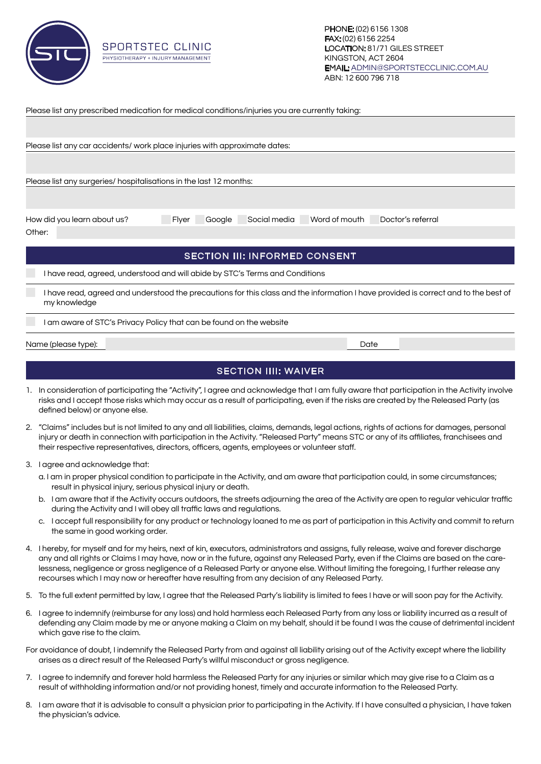

SPORTSTEC CLINIC PHYSIOTHERAPY + INJURY MANAGEMENT

|                                                                                                                                     | Please list any prescribed medication for medical conditions/injuries you are currently taking: |  |                                      |      |  |  |  |  |
|-------------------------------------------------------------------------------------------------------------------------------------|-------------------------------------------------------------------------------------------------|--|--------------------------------------|------|--|--|--|--|
|                                                                                                                                     |                                                                                                 |  |                                      |      |  |  |  |  |
|                                                                                                                                     |                                                                                                 |  |                                      |      |  |  |  |  |
| Please list any car accidents/ work place injuries with approximate dates:                                                          |                                                                                                 |  |                                      |      |  |  |  |  |
|                                                                                                                                     |                                                                                                 |  |                                      |      |  |  |  |  |
|                                                                                                                                     |                                                                                                 |  |                                      |      |  |  |  |  |
|                                                                                                                                     | Please list any surgeries/ hospitalisations in the last 12 months:                              |  |                                      |      |  |  |  |  |
|                                                                                                                                     |                                                                                                 |  |                                      |      |  |  |  |  |
|                                                                                                                                     |                                                                                                 |  |                                      |      |  |  |  |  |
| Doctor's referral<br>How did you learn about us?<br>Social media<br>Word of mouth<br>Flyer<br>Google                                |                                                                                                 |  |                                      |      |  |  |  |  |
| Other:                                                                                                                              |                                                                                                 |  |                                      |      |  |  |  |  |
|                                                                                                                                     |                                                                                                 |  |                                      |      |  |  |  |  |
|                                                                                                                                     |                                                                                                 |  | <b>SECTION III: INFORMED CONSENT</b> |      |  |  |  |  |
|                                                                                                                                     |                                                                                                 |  |                                      |      |  |  |  |  |
|                                                                                                                                     | I have read, agreed, understood and will abide by STC's Terms and Conditions                    |  |                                      |      |  |  |  |  |
| I have read, agreed and understood the precautions for this class and the information I have provided is correct and to the best of |                                                                                                 |  |                                      |      |  |  |  |  |
|                                                                                                                                     | my knowledge                                                                                    |  |                                      |      |  |  |  |  |
|                                                                                                                                     |                                                                                                 |  |                                      |      |  |  |  |  |
|                                                                                                                                     | I am aware of STC's Privacy Policy that can be found on the website                             |  |                                      |      |  |  |  |  |
| Name (please type):                                                                                                                 |                                                                                                 |  |                                      | Date |  |  |  |  |
|                                                                                                                                     |                                                                                                 |  |                                      |      |  |  |  |  |

## SECTION IIII: WAIVER

- 1. In consideration of participating the "Activity", I agree and acknowledge that I am fully aware that participation in the Activity involve risks and I accept those risks which may occur as a result of participating, even if the risks are created by the Released Party (as defined below) or anyone else.
- 2. "Claims" includes but is not limited to any and all liabilities, claims, demands, legal actions, rights of actions for damages, personal injury or death in connection with participation in the Activity. "Released Party" means STC or any of its affiliates, franchisees and their respective representatives, directors, officers, agents, employees or volunteer staff.
- 3. I agree and acknowledge that:
	- a. I am in proper physical condition to participate in the Activity, and am aware that participation could, in some circumstances; result in physical injury, serious physical injury or death.
	- b. I am aware that if the Activity occurs outdoors, the streets adjourning the area of the Activity are open to regular vehicular traffic during the Activity and I will obey all traffic laws and regulations.
	- c. I accept full responsibility for any product or technology loaned to me as part of participation in this Activity and commit to return the same in good working order.
- 4. I hereby, for myself and for my heirs, next of kin, executors, administrators and assigns, fully release, waive and forever discharge any and all rights or Claims I may have, now or in the future, against any Released Party, even if the Claims are based on the carelessness, negligence or gross negligence of a Released Party or anyone else. Without limiting the foregoing, I further release any recourses which I may now or hereafter have resulting from any decision of any Released Party.
- 5. To the full extent permitted by law, I agree that the Released Party's liability is limited to fees I have or will soon pay for the Activity.
- 6. I agree to indemnify (reimburse for any loss) and hold harmless each Released Party from any loss or liability incurred as a result of defending any Claim made by me or anyone making a Claim on my behalf, should it be found I was the cause of detrimental incident which gave rise to the claim.
- For avoidance of doubt, I indemnify the Released Party from and against all liability arising out of the Activity except where the liability arises as a direct result of the Released Party's willful misconduct or gross negligence.
- 7. I agree to indemnify and forever hold harmless the Released Party for any injuries or similar which may give rise to a Claim as a result of withholding information and/or not providing honest, timely and accurate information to the Released Party.
- 8. I am aware that it is advisable to consult a physician prior to participating in the Activity. If I have consulted a physician, I have taken the physician's advice.